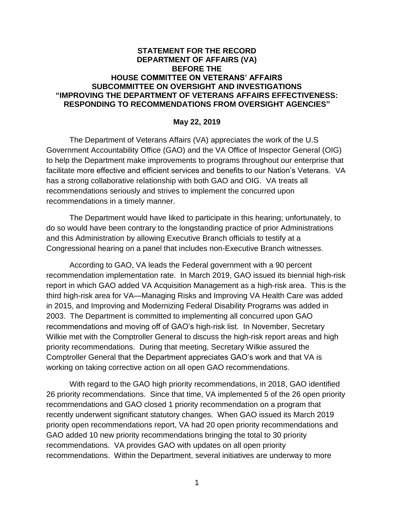## **STATEMENT FOR THE RECORD DEPARTMENT OF AFFAIRS (VA) BEFORE THE HOUSE COMMITTEE ON VETERANS' AFFAIRS SUBCOMMITTEE ON OVERSIGHT AND INVESTIGATIONS "IMPROVING THE DEPARTMENT OF VETERANS AFFAIRS EFFECTIVENESS: RESPONDING TO RECOMMENDATIONS FROM OVERSIGHT AGENCIES"**

## **May 22, 2019**

The Department of Veterans Affairs (VA) appreciates the work of the U.S Government Accountability Office (GAO) and the VA Office of Inspector General (OIG) to help the Department make improvements to programs throughout our enterprise that facilitate more effective and efficient services and benefits to our Nation's Veterans. VA has a strong collaborative relationship with both GAO and OIG. VA treats all recommendations seriously and strives to implement the concurred upon recommendations in a timely manner.

The Department would have liked to participate in this hearing; unfortunately, to do so would have been contrary to the longstanding practice of prior Administrations and this Administration by allowing Executive Branch officials to testify at a Congressional hearing on a panel that includes non-Executive Branch witnesses.

According to GAO, VA leads the Federal government with a 90 percent recommendation implementation rate. In March 2019, GAO issued its biennial high-risk report in which GAO added VA Acquisition Management as a high-risk area. This is the third high-risk area for VA—Managing Risks and Improving VA Health Care was added in 2015, and Improving and Modernizing Federal Disability Programs was added in 2003. The Department is committed to implementing all concurred upon GAO recommendations and moving off of GAO's high-risk list. In November, Secretary Wilkie met with the Comptroller General to discuss the high-risk report areas and high priority recommendations. During that meeting, Secretary Wilkie assured the Comptroller General that the Department appreciates GAO's work and that VA is working on taking corrective action on all open GAO recommendations.

With regard to the GAO high priority recommendations, in 2018, GAO identified 26 priority recommendations. Since that time, VA implemented 5 of the 26 open priority recommendations and GAO closed 1 priority recommendation on a program that recently underwent significant statutory changes. When GAO issued its March 2019 priority open recommendations report, VA had 20 open priority recommendations and GAO added 10 new priority recommendations bringing the total to 30 priority recommendations. VA provides GAO with updates on all open priority recommendations. Within the Department, several initiatives are underway to more